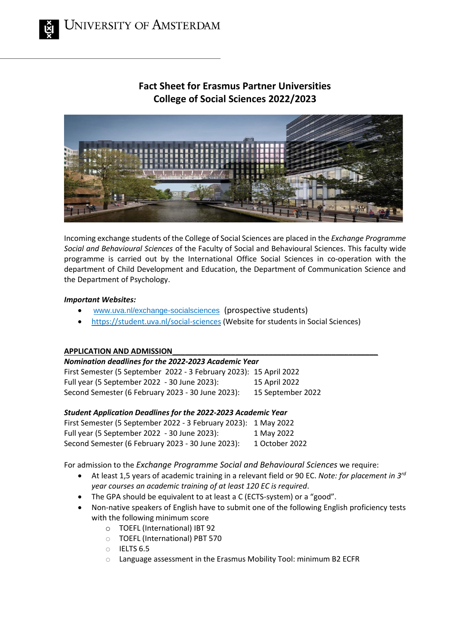# **Fact Sheet for Erasmus Partner Universities College of Social Sciences 2022/2023**



Incoming exchange students of the College of Social Sciences are placed in the *Exchange Programme Social and Behavioural Sciences* of the Faculty of Social and Behavioural Sciences. This faculty wide programme is carried out by the International Office Social Sciences in co-operation with the department of Child Development and Education, the Department of Communication Science and the Department of Psychology.

# *Important Websites:*

- [www.uva.nl/exchange-socialsciences](http://www.uva.nl/exchange-socialsciences) (prospective students)
- <https://student.uva.nl/social-sciences> (Website for students in Social Sciences)

# **APPLICATION AND ADMISSION\_\_\_\_\_\_\_\_\_\_\_\_\_\_\_\_\_\_\_\_\_\_\_\_\_\_\_\_\_\_\_\_\_\_\_\_\_\_\_\_\_\_\_\_\_\_\_\_\_**

# *Nomination deadlines for the 2022‐2023 Academic Year*

First Semester (5 September 2022 ‐ 3 February 2023): 15 April 2022 Full year (5 September 2022 ‐ 30 June 2023): 15 April 2022 Second Semester (6 February 2023 ‐ 30 June 2023): 15 September 2022

# *Student Application Deadlines for the 2022‐2023 Academic Year*

| First Semester (5 September 2022 - 3 February 2023): 1 May 2022 |                |
|-----------------------------------------------------------------|----------------|
| Full year (5 September 2022 - 30 June 2023):                    | 1 May 2022     |
| Second Semester (6 February 2023 - 30 June 2023):               | 1 October 2022 |

For admission to the *Exchange Programme Social and Behavioural Sciences* we require:

- At least 1,5 years of academic training in a relevant field or 90 EC. *Note: for placement in 3rd year courses an academic training of at least 120 EC is required*.
- The GPA should be equivalent to at least a C (ECTS-system) or a "good".
- Non-native speakers of English have to submit one of the following English proficiency tests with the following minimum score
	- o TOEFL (International) IBT 92
	- o TOEFL (International) PBT 570
	- o IELTS 6.5
	- o Language assessment in the Erasmus Mobility Tool: minimum B2 ECFR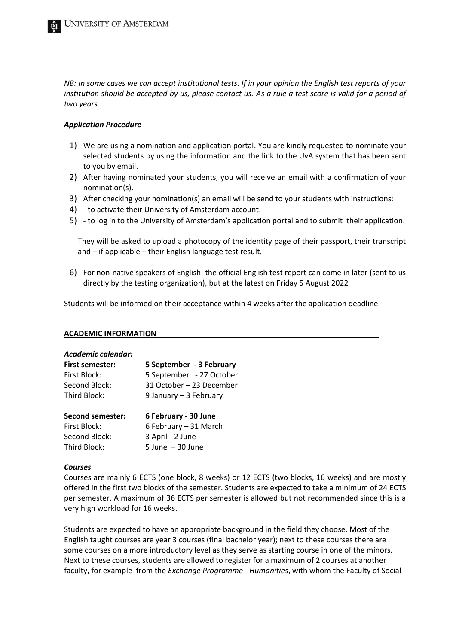*NB: In some cases we can accept institutional tests*. *If in your opinion the English test reports of your institution should be accepted by us, please contact us. As a rule a test score is valid for a period of two years.*

### *Application Procedure*

- 1) We are using a nomination and application portal. You are kindly requested to nominate your selected students by using the information and the link to the UvA system that has been sent to you by email.
- 2) After having nominated your students, you will receive an email with a confirmation of your nomination(s).
- 3) After checking your nomination(s) an email will be send to your students with instructions:
- 4) to activate their University of Amsterdam account.
- 5) to log in to the University of Amsterdam's application portal and to submit their application.

They will be asked to upload a photocopy of the identity page of their passport, their transcript and – if applicable – their English language test result.

6) For non-native speakers of English: the official English test report can come in later (sent to us directly by the testing organization), but at the latest on Friday 5 August 2022

Students will be informed on their acceptance within 4 weeks after the application deadline.

#### **ACADEMIC INFORMATION\_\_\_\_\_\_\_\_\_\_\_\_\_\_\_\_\_\_\_\_\_\_\_\_\_\_\_\_\_\_\_\_\_\_\_\_\_\_\_\_\_\_\_\_\_\_\_\_\_\_\_\_\_**

#### *Academic calendar:*

| First semester: | 5 September - 3 February |
|-----------------|--------------------------|
| First Block:    | 5 September - 27 October |
| Second Block:   | 31 October - 23 December |
| Third Block:    | 9 January - 3 February   |

| <b>Second semester:</b> | 6 February - 30 June  |
|-------------------------|-----------------------|
| First Block:            | 6 February - 31 March |
| Second Block:           | 3 April - 2 June      |
| Third Block:            | $5$ June $-30$ June   |

#### *Courses*

Courses are mainly 6 ECTS (one block, 8 weeks) or 12 ECTS (two blocks, 16 weeks) and are mostly offered in the first two blocks of the semester. Students are expected to take a minimum of 24 ECTS per semester. A maximum of 36 ECTS per semester is allowed but not recommended since this is a very high workload for 16 weeks.

Students are expected to have an appropriate background in the field they choose. Most of the English taught courses are year 3 courses (final bachelor year); next to these courses there are some courses on a more introductory level as they serve as starting course in one of the minors. Next to these courses, students are allowed to register for a maximum of 2 courses at another faculty, for example from the *Exchange Programme - Humanities*, with whom the Faculty of Social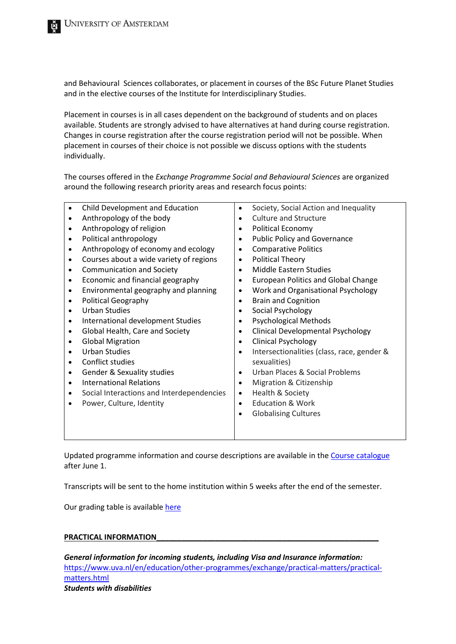and Behavioural Sciences collaborates, or placement in courses of the BSc Future Planet Studies and in the elective courses of the Institute for Interdisciplinary Studies.

Placement in courses is in all cases dependent on the background of students and on places available. Students are strongly advised to have alternatives at hand during course registration. Changes in course registration after the course registration period will not be possible. When placement in courses of their choice is not possible we discuss options with the students individually.

The courses offered in the *Exchange Programme Social and Behavioural Sciences* are organized around the following research priority areas and research focus points:

|           | Child Development and Education           | $\bullet$ | Society, Social Action and Inequality      |
|-----------|-------------------------------------------|-----------|--------------------------------------------|
|           | Anthropology of the body                  | ٠         | <b>Culture and Structure</b>               |
| $\bullet$ | Anthropology of religion                  | $\bullet$ | Political Economy                          |
|           | Political anthropology                    | $\bullet$ | <b>Public Policy and Governance</b>        |
|           | Anthropology of economy and ecology       |           | <b>Comparative Politics</b>                |
|           | Courses about a wide variety of regions   | $\bullet$ | <b>Political Theory</b>                    |
|           | <b>Communication and Society</b>          | $\bullet$ | <b>Middle Eastern Studies</b>              |
| $\bullet$ | Economic and financial geography          | ٠         | <b>European Politics and Global Change</b> |
|           | Environmental geography and planning      | $\bullet$ | Work and Organisational Psychology         |
| $\bullet$ | <b>Political Geography</b>                |           | <b>Brain and Cognition</b>                 |
|           | <b>Urban Studies</b>                      | ٠         | Social Psychology                          |
|           | International development Studies         |           | <b>Psychological Methods</b>               |
| $\bullet$ | Global Health, Care and Society           | $\bullet$ | <b>Clinical Developmental Psychology</b>   |
|           | <b>Global Migration</b>                   | $\bullet$ | <b>Clinical Psychology</b>                 |
|           | Urban Studies                             | ٠         | Intersectionalities (class, race, gender & |
|           | Conflict studies                          |           | sexualities)                               |
|           | <b>Gender &amp; Sexuality studies</b>     |           | Urban Places & Social Problems             |
| $\bullet$ | <b>International Relations</b>            | $\bullet$ | Migration & Citizenship                    |
|           | Social Interactions and Interdependencies | $\bullet$ | Health & Society                           |
|           | Power, Culture, Identity                  | $\bullet$ | <b>Education &amp; Work</b>                |
|           |                                           | $\bullet$ | <b>Globalising Cultures</b>                |
|           |                                           |           |                                            |
|           |                                           |           |                                            |

Updated programme information and course descriptions are available in the [Course catalogue](https://studiegids.uva.nl/xmlpages/page/2021-2022-en) after June 1.

Transcripts will be sent to the home institution within 5 weeks after the end of the semester.

Our grading table is available [here](https://student.uva.nl/en/content/az/grading-scheme/grading-scheme.html)

#### **PRACTICAL INFORMATION\_\_\_\_\_\_\_\_\_\_\_\_\_\_\_\_\_\_\_\_\_\_\_\_\_\_\_\_\_\_\_\_\_\_\_\_\_\_\_\_\_\_\_\_\_\_\_\_\_\_\_\_\_**

*General information for incoming students, including Visa and Insurance information:* [https://www.uva.nl/en/education/other-programmes/exchange/practical-matters/practical](https://www.uva.nl/en/education/other-programmes/exchange/practical-matters/practical-matters.html)[matters.html](https://www.uva.nl/en/education/other-programmes/exchange/practical-matters/practical-matters.html) *Students with disabilities*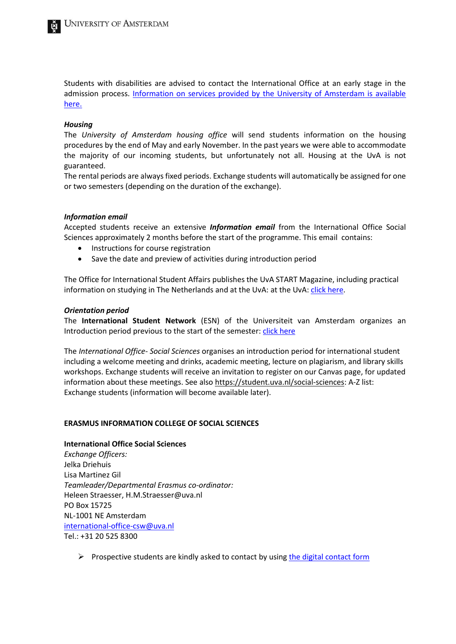Students with disabilities are advised to contact the International Office at an early stage in the admission process. Information on services provided by the University of Amsterdam is available [here.](https://student.uva.nl/en/content/az/disability/disability.html)

## *Housing*

The *University of Amsterdam housing office* will send students information on the housing procedures by the end of May and early November. In the past years we were able to accommodate the majority of our incoming students, but unfortunately not all. Housing at the UvA is not guaranteed.

The rental periods are always fixed periods. Exchange students will automatically be assigned for one or two semesters (depending on the duration of the exchange).

### *Information email*

Accepted students receive an extensive *Information email* from the International Office Social Sciences approximately 2 months before the start of the programme. This email contains:

- Instructions for course registration
- Save the date and preview of activities during introduction period

The Office for International Student Affairs publishes the UvA START Magazine, including practical information on studying in The Netherlands and at the UvA: at the UvA: [click here.](https://student.uva.nl/en/content/az/start-magazine/start-magazine.html)

#### *Orientation period*

The **International Student Network** (ESN) of the Universiteit van Amsterdam organizes an Introduction period previous to the start of the semester: [click here](http://isnamsterdam.nl/)

The *International Office- Social Sciences* organises an introduction period for international student including a welcome meeting and drinks, academic meeting, lecture on plagiarism, and library skills workshops. Exchange students will receive an invitation to register on our Canvas page, for updated information about these meetings. See als[o https://student.uva.nl/social-sciences:](https://student.uva.nl/social-sciences) A-Z list: Exchange students (information will become available later).

# **ERASMUS INFORMATION COLLEGE OF SOCIAL SCIENCES**

#### **International Office Social Sciences**

*Exchange Officers:* Jelka Driehuis Lisa Martinez Gil *Teamleader/Departmental Erasmus co-ordinator:* Heleen Straesser, H.M.Straesser@uva.nl PO Box 15725 NL‐1001 NE Amsterdam international‐office‐csw@uva.nl Tel.: +31 20 525 8300

 $\triangleright$  Prospective students are kindly asked to contact by using [the digital contact form](https://uva-ac.topdesk.net/xfg/openengfmgeo)